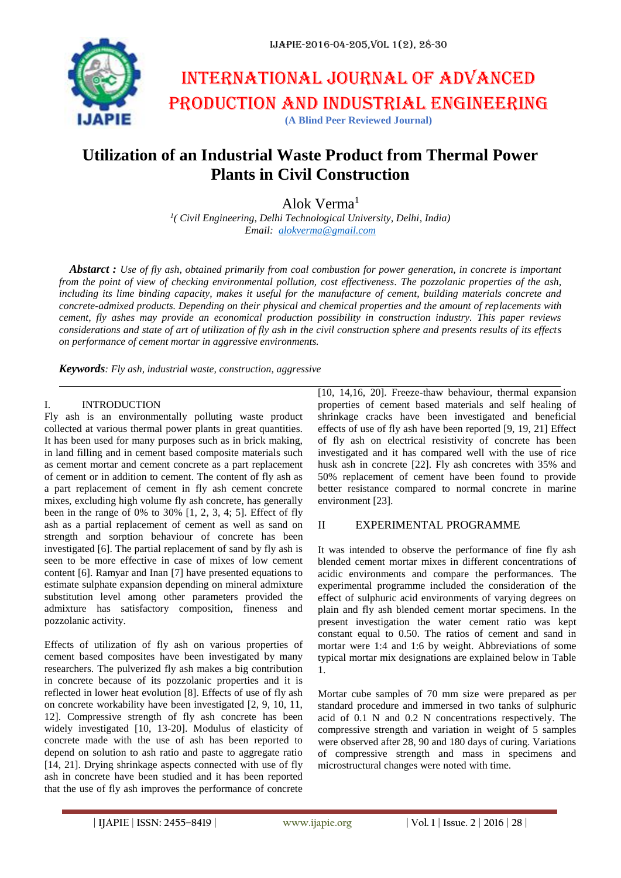

# International journal of advanced production and industrial engineering **(A Blind Peer Reviewed Journal)**

## **Utilization of an Industrial Waste Product from Thermal Power Plants in Civil Construction**

Alok Verma<sup>1</sup>

*1 ( Civil Engineering, Delhi Technological University, Delhi, India) Email: [alokverma@gmail.com](mailto:alokverma@gmail.com)*

*Abstarct : Use of fly ash, obtained primarily from coal combustion for power generation, in concrete is important from the point of view of checking environmental pollution, cost effectiveness. The pozzolanic properties of the ash, including its lime binding capacity, makes it useful for the manufacture of cement, building materials concrete and concrete-admixed products. Depending on their physical and chemical properties and the amount of replacements with cement, fly ashes may provide an economical production possibility in construction industry. This paper reviews considerations and state of art of utilization of fly ash in the civil construction sphere and presents results of its effects on performance of cement mortar in aggressive environments.*

*Keywords: Fly ash, industrial waste, construction, aggressive*

#### I. INTRODUCTION

Fly ash is an environmentally polluting waste product collected at various thermal power plants in great quantities. It has been used for many purposes such as in brick making, in land filling and in cement based composite materials such as cement mortar and cement concrete as a part replacement of cement or in addition to cement. The content of fly ash as a part replacement of cement in fly ash cement concrete mixes, excluding high volume fly ash concrete, has generally been in the range of 0% to  $30\%$  [1, 2, 3, 4; 5]. Effect of fly ash as a partial replacement of cement as well as sand on strength and sorption behaviour of concrete has been investigated [6]. The partial replacement of sand by fly ash is seen to be more effective in case of mixes of low cement content [6]. Ramyar and Inan [7] have presented equations to estimate sulphate expansion depending on mineral admixture substitution level among other parameters provided the admixture has satisfactory composition, fineness and pozzolanic activity.

Effects of utilization of fly ash on various properties of cement based composites have been investigated by many researchers. The pulverized fly ash makes a big contribution in concrete because of its pozzolanic properties and it is reflected in lower heat evolution [8]. Effects of use of fly ash on concrete workability have been investigated [2, 9, 10, 11, 12]. Compressive strength of fly ash concrete has been widely investigated [10, 13-20]. Modulus of elasticity of concrete made with the use of ash has been reported to depend on solution to ash ratio and paste to aggregate ratio [14, 21]. Drying shrinkage aspects connected with use of fly ash in concrete have been studied and it has been reported that the use of fly ash improves the performance of concrete

[10, 14,16, 20]. Freeze-thaw behaviour, thermal expansion properties of cement based materials and self healing of shrinkage cracks have been investigated and beneficial effects of use of fly ash have been reported [9, 19, 21] Effect of fly ash on electrical resistivity of concrete has been investigated and it has compared well with the use of rice husk ash in concrete [22]. Fly ash concretes with 35% and 50% replacement of cement have been found to provide better resistance compared to normal concrete in marine environment [23].

### II EXPERIMENTAL PROGRAMME

It was intended to observe the performance of fine fly ash blended cement mortar mixes in different concentrations of acidic environments and compare the performances. The experimental programme included the consideration of the effect of sulphuric acid environments of varying degrees on plain and fly ash blended cement mortar specimens. In the present investigation the water cement ratio was kept constant equal to 0.50. The ratios of cement and sand in mortar were 1:4 and 1:6 by weight. Abbreviations of some typical mortar mix designations are explained below in Table 1.

Mortar cube samples of 70 mm size were prepared as per standard procedure and immersed in two tanks of sulphuric acid of 0.1 N and 0.2 N concentrations respectively. The compressive strength and variation in weight of 5 samples were observed after 28, 90 and 180 days of curing. Variations of compressive strength and mass in specimens and microstructural changes were noted with time.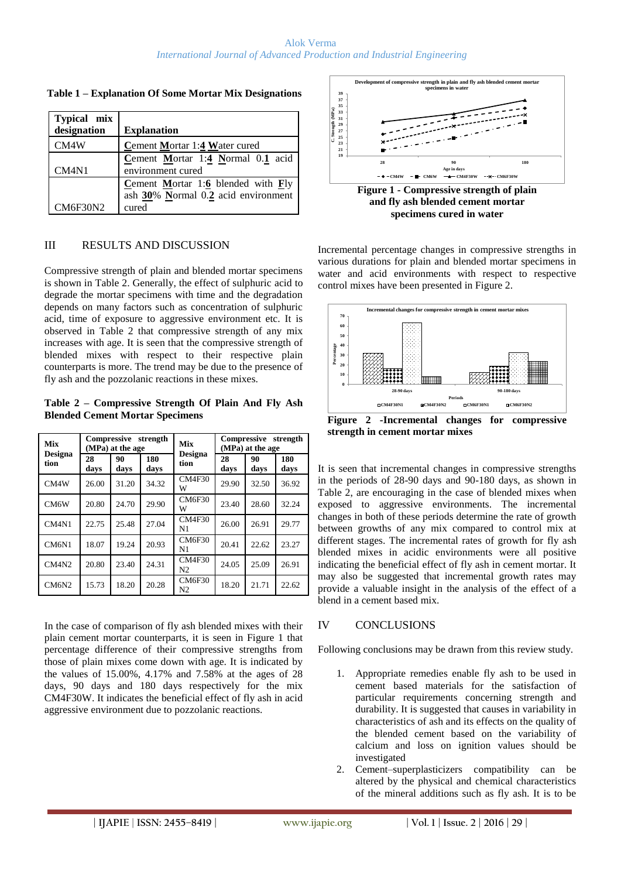| Typical mix<br>designation     |                                           |
|--------------------------------|-------------------------------------------|
|                                | <b>Explanation</b>                        |
| CM4W                           | Cement Mortar 1:4 Water cured             |
|                                | Cement Mortar 1:4 Normal $0.1$ acid       |
| CM <sub>4</sub> N <sub>1</sub> | environment cured                         |
|                                | <b>Cement Mortar 1:6 blended with Fly</b> |
|                                | ash 30% Normal 0.2 acid environment       |
| <b>CM6F30N2</b>                | cured                                     |

**Table 1 – Explanation Of Some Mortar Mix Designations**

#### III RESULTS AND DISCUSSION

Compressive strength of plain and blended mortar specimens is shown in Table 2. Generally, the effect of sulphuric acid to degrade the mortar specimens with time and the degradation depends on many factors such as concentration of sulphuric acid, time of exposure to aggressive environment etc. It is observed in Table 2 that compressive strength of any mix increases with age. It is seen that the compressive strength of blended mixes with respect to their respective plain counterparts is more. The trend may be due to the presence of fly ash and the pozzolanic reactions in these mixes.

**Table 2 – Compressive Strength Of Plain And Fly Ash Blended Cement Mortar Specimens**

| Mix<br><b>Designa</b><br>tion  | Compressive<br>strength<br>(MPa) at the age |            |             | Mix<br><b>Designa</b>           | Compressive<br>strength<br>(MPa) at the age |            |             |
|--------------------------------|---------------------------------------------|------------|-------------|---------------------------------|---------------------------------------------|------------|-------------|
|                                | 28<br>days                                  | 90<br>davs | 180<br>days | tion                            | 28<br>days                                  | 90<br>days | 180<br>days |
| CM4W                           | 26.00                                       | 31.20      | 34.32       | CM4F30<br>W                     | 29.90                                       | 32.50      | 36.92       |
| CM6W                           | 20.80                                       | 24.70      | 29.90       | <b>CM6F30</b><br>W              | 23.40                                       | 28.60      | 32.24       |
| CM <sub>4</sub> N <sub>1</sub> | 22.75                                       | 25.48      | 27.04       | <b>CM4F30</b><br>N1             | 26.00                                       | 26.91      | 29.77       |
| CM6N1                          | 18.07                                       | 19.24      | 20.93       | <b>CM6F30</b><br>N <sub>1</sub> | 20.41                                       | 22.62      | 23.27       |
| CM4N2                          | 20.80                                       | 23.40      | 24.31       | CM4F30<br>N <sub>2</sub>        | 24.05                                       | 25.09      | 26.91       |
| CM6N2                          | 15.73                                       | 18.20      | 20.28       | <b>CM6F30</b><br>N <sub>2</sub> | 18.20                                       | 21.71      | 22.62       |

In the case of comparison of fly ash blended mixes with their plain cement mortar counterparts, it is seen in Figure 1 that percentage difference of their compressive strengths from those of plain mixes come down with age. It is indicated by the values of 15.00%, 4.17% and 7.58% at the ages of 28 days, 90 days and 180 days respectively for the mix CM4F30W. It indicates the beneficial effect of fly ash in acid aggressive environment due to pozzolanic reactions.



**and fly ash blended cement mortar specimens cured in water**

Incremental percentage changes in compressive strengths in various durations for plain and blended mortar specimens in water and acid environments with respect to respective control mixes have been presented in Figure 2.



**Figure 2 -Incremental changes for compressive strength in cement mortar mixes**

It is seen that incremental changes in compressive strengths in the periods of 28-90 days and 90-180 days, as shown in Table 2, are encouraging in the case of blended mixes when exposed to aggressive environments. The incremental changes in both of these periods determine the rate of growth between growths of any mix compared to control mix at different stages. The incremental rates of growth for fly ash blended mixes in acidic environments were all positive indicating the beneficial effect of fly ash in cement mortar. It may also be suggested that incremental growth rates may provide a valuable insight in the analysis of the effect of a blend in a cement based mix.

### IV CONCLUSIONS

Following conclusions may be drawn from this review study.

- 1. Appropriate remedies enable fly ash to be used in cement based materials for the satisfaction of particular requirements concerning strength and durability. It is suggested that causes in variability in characteristics of ash and its effects on the quality of the blended cement based on the variability of calcium and loss on ignition values should be investigated
- 2. Cement–superplasticizers compatibility can be altered by the physical and chemical characteristics of the mineral additions such as fly ash. It is to be